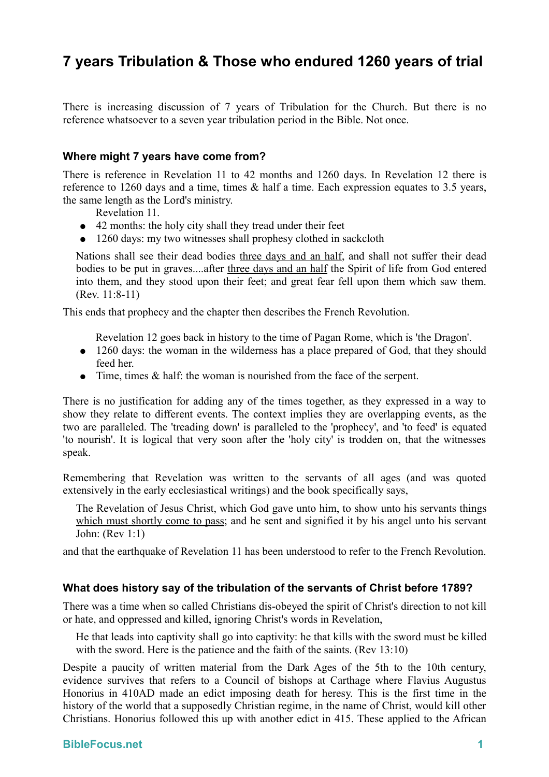## **7 years Tribulation & Those who endured 1260 years of trial**

There is increasing discussion of 7 years of Tribulation for the Church. But there is no reference whatsoever to a seven year tribulation period in the Bible. Not once.

## **Where might 7 years have come from?**

There is reference in Revelation 11 to 42 months and 1260 days. In Revelation 12 there is reference to 1260 days and a time, times & half a time. Each expression equates to 3.5 years, the same length as the Lord's ministry.

- Revelation 11.
- 42 months: the holy city shall they tread under their feet
- 1260 days: my two witnesses shall prophesy clothed in sackcloth

Nations shall see their dead bodies three days and an half, and shall not suffer their dead bodies to be put in graves....after three days and an half the Spirit of life from God entered into them, and they stood upon their feet; and great fear fell upon them which saw them. (Rev. 11:8-11)

This ends that prophecy and the chapter then describes the French Revolution.

Revelation 12 goes back in history to the time of Pagan Rome, which is 'the Dragon'.

- 1260 days: the woman in the wilderness has a place prepared of God, that they should feed her.
- Time, times & half: the woman is nourished from the face of the serpent.

There is no justification for adding any of the times together, as they expressed in a way to show they relate to different events. The context implies they are overlapping events, as the two are paralleled. The 'treading down' is paralleled to the 'prophecy', and 'to feed' is equated 'to nourish'. It is logical that very soon after the 'holy city' is trodden on, that the witnesses speak.

Remembering that Revelation was written to the servants of all ages (and was quoted extensively in the early ecclesiastical writings) and the book specifically says,

The Revelation of Jesus Christ, which God gave unto him, to show unto his servants things which must shortly come to pass; and he sent and signified it by his angel unto his servant John: (Rev 1:1)

and that the earthquake of Revelation 11 has been understood to refer to the French Revolution.

## **What does history say of the tribulation of the servants of Christ before 1789?**

There was a time when so called Christians dis-obeyed the spirit of Christ's direction to not kill or hate, and oppressed and killed, ignoring Christ's words in Revelation,

He that leads into captivity shall go into captivity: he that kills with the sword must be killed with the sword. Here is the patience and the faith of the saints. (Rev 13:10)

Despite a paucity of written material from the Dark Ages of the 5th to the 10th century, evidence survives that refers to a Council of bishops at Carthage where Flavius Augustus Honorius in 410AD made an edict imposing death for heresy. This is the first time in the history of the world that a supposedly Christian regime, in the name of Christ, would kill other Christians. Honorius followed this up with another edict in 415. These applied to the African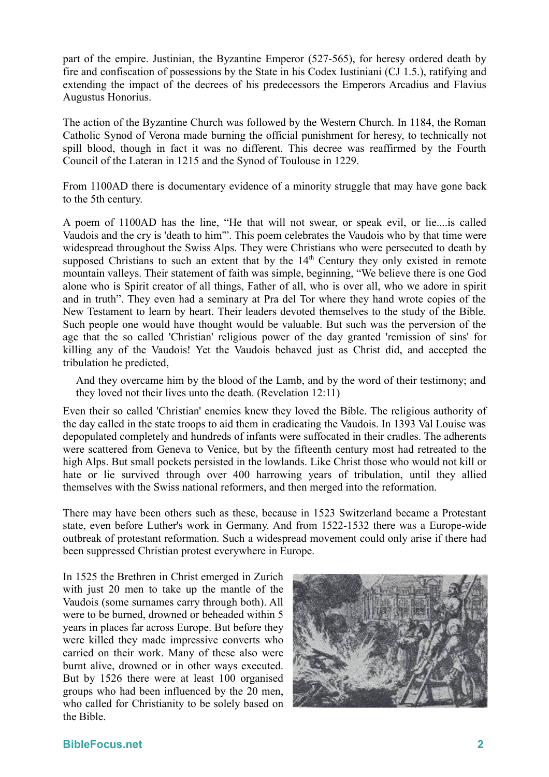part of the empire. Justinian, the Byzantine Emperor (527-565), for heresy ordered death by fire and confiscation of possessions by the State in his Codex Iustiniani (CJ 1.5.), ratifying and extending the impact of the decrees of his predecessors the Emperors Arcadius and Flavius Augustus Honorius.

The action of the Byzantine Church was followed by the Western Church. In 1184, the Roman Catholic Synod of Verona made burning the official punishment for heresy, to technically not spill blood, though in fact it was no different. This decree was reaffirmed by the Fourth Council of the Lateran in 1215 and the Synod of Toulouse in 1229.

From 1100AD there is documentary evidence of a minority struggle that may have gone back to the 5th century.

A poem of 1100AD has the line, "He that will not swear, or speak evil, or lie....is called Vaudois and the cry is 'death to him'". This poem celebrates the Vaudois who by that time were widespread throughout the Swiss Alps. They were Christians who were persecuted to death by supposed Christians to such an extent that by the  $14<sup>th</sup>$  Century they only existed in remote mountain valleys. Their statement of faith was simple, beginning, "We believe there is one God alone who is Spirit creator of all things, Father of all, who is over all, who we adore in spirit and in truth". They even had a seminary at Pra del Tor where they hand wrote copies of the New Testament to learn by heart. Their leaders devoted themselves to the study of the Bible. Such people one would have thought would be valuable. But such was the perversion of the age that the so called 'Christian' religious power of the day granted 'remission of sins' for killing any of the Vaudois! Yet the Vaudois behaved just as Christ did, and accepted the tribulation he predicted,

And they overcame him by the blood of the Lamb, and by the word of their testimony; and they loved not their lives unto the death. (Revelation 12:11)

Even their so called 'Christian' enemies knew they loved the Bible. The religious authority of the day called in the state troops to aid them in eradicating the Vaudois. In 1393 Val Louise was depopulated completely and hundreds of infants were suffocated in their cradles. The adherents were scattered from Geneva to Venice, but by the fifteenth century most had retreated to the high Alps. But small pockets persisted in the lowlands. Like Christ those who would not kill or hate or lie survived through over 400 harrowing years of tribulation, until they allied themselves with the Swiss national reformers, and then merged into the reformation.

There may have been others such as these, because in 1523 Switzerland became a Protestant state, even before Luther's work in Germany. And from 1522-1532 there was a Europe-wide outbreak of protestant reformation. Such a widespread movement could only arise if there had been suppressed Christian protest everywhere in Europe.

In 1525 the Brethren in Christ emerged in Zurich with just 20 men to take up the mantle of the Vaudois (some surnames carry through both). All were to be burned, drowned or beheaded within 5 years in places far across Europe. But before they were killed they made impressive converts who carried on their work. Many of these also were burnt alive, drowned or in other ways executed. But by 1526 there were at least 100 organised groups who had been influenced by the 20 men, who called for Christianity to be solely based on the Bible.

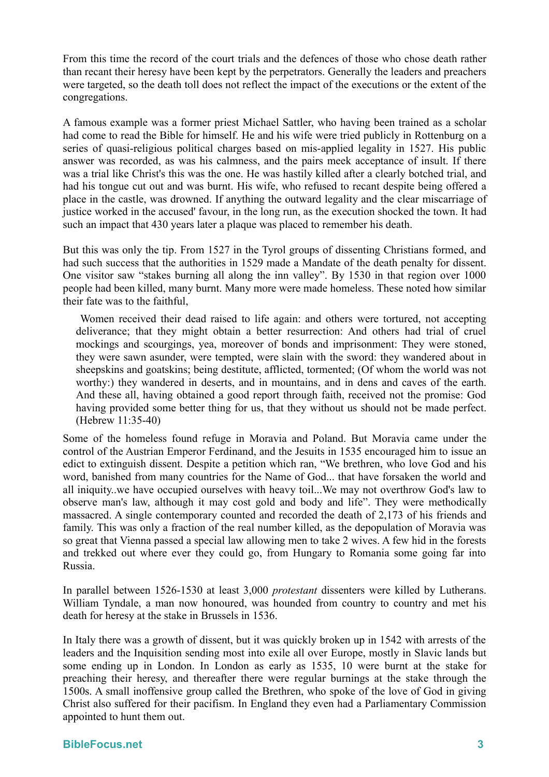From this time the record of the court trials and the defences of those who chose death rather than recant their heresy have been kept by the perpetrators. Generally the leaders and preachers were targeted, so the death toll does not reflect the impact of the executions or the extent of the congregations.

A famous example was a former priest Michael Sattler, who having been trained as a scholar had come to read the Bible for himself. He and his wife were tried publicly in Rottenburg on a series of quasi-religious political charges based on mis-applied legality in 1527. His public answer was recorded, as was his calmness, and the pairs meek acceptance of insult. If there was a trial like Christ's this was the one. He was hastily killed after a clearly botched trial, and had his tongue cut out and was burnt. His wife, who refused to recant despite being offered a place in the castle, was drowned. If anything the outward legality and the clear miscarriage of justice worked in the accused' favour, in the long run, as the execution shocked the town. It had such an impact that 430 years later a plaque was placed to remember his death.

But this was only the tip. From 1527 in the Tyrol groups of dissenting Christians formed, and had such success that the authorities in 1529 made a Mandate of the death penalty for dissent. One visitor saw "stakes burning all along the inn valley". By 1530 in that region over 1000 people had been killed, many burnt. Many more were made homeless. These noted how similar their fate was to the faithful,

Women received their dead raised to life again: and others were tortured, not accepting deliverance; that they might obtain a better resurrection: And others had trial of cruel mockings and scourgings, yea, moreover of bonds and imprisonment: They were stoned, they were sawn asunder, were tempted, were slain with the sword: they wandered about in sheepskins and goatskins; being destitute, afflicted, tormented; (Of whom the world was not worthy:) they wandered in deserts, and in mountains, and in dens and caves of the earth. And these all, having obtained a good report through faith, received not the promise: God having provided some better thing for us, that they without us should not be made perfect. (Hebrew 11:35-40)

Some of the homeless found refuge in Moravia and Poland. But Moravia came under the control of the Austrian Emperor Ferdinand, and the Jesuits in 1535 encouraged him to issue an edict to extinguish dissent. Despite a petition which ran, "We brethren, who love God and his word, banished from many countries for the Name of God... that have forsaken the world and all iniquity..we have occupied ourselves with heavy toil...We may not overthrow God's law to observe man's law, although it may cost gold and body and life". They were methodically massacred. A single contemporary counted and recorded the death of 2,173 of his friends and family. This was only a fraction of the real number killed, as the depopulation of Moravia was so great that Vienna passed a special law allowing men to take 2 wives. A few hid in the forests and trekked out where ever they could go, from Hungary to Romania some going far into Russia.

In parallel between 1526-1530 at least 3,000 *protestant* dissenters were killed by Lutherans. William Tyndale, a man now honoured, was hounded from country to country and met his death for heresy at the stake in Brussels in 1536.

In Italy there was a growth of dissent, but it was quickly broken up in 1542 with arrests of the leaders and the Inquisition sending most into exile all over Europe, mostly in Slavic lands but some ending up in London. In London as early as 1535, 10 were burnt at the stake for preaching their heresy, and thereafter there were regular burnings at the stake through the 1500s. A small inoffensive group called the Brethren, who spoke of the love of God in giving Christ also suffered for their pacifism. In England they even had a Parliamentary Commission appointed to hunt them out.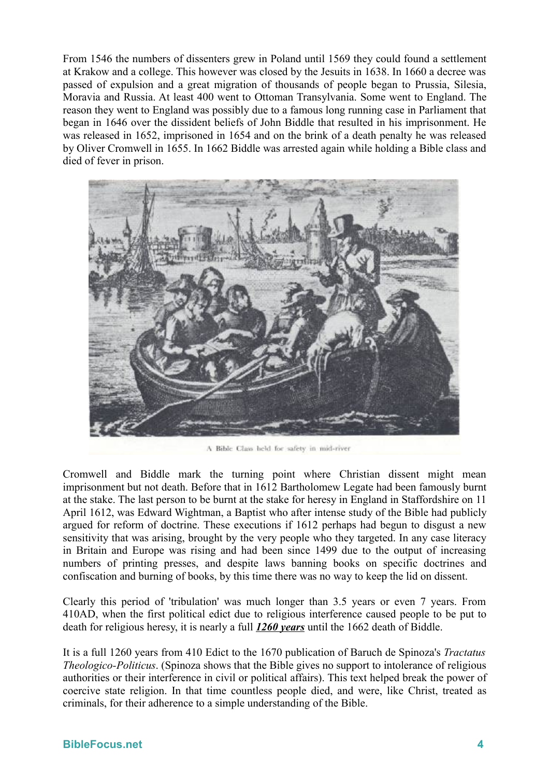From 1546 the numbers of dissenters grew in Poland until 1569 they could found a settlement at Krakow and a college. This however was closed by the Jesuits in 1638. In 1660 a decree was passed of expulsion and a great migration of thousands of people began to Prussia, Silesia, Moravia and Russia. At least 400 went to Ottoman Transylvania. Some went to England. The reason they went to England was possibly due to a famous long running case in Parliament that began in 1646 over the dissident beliefs of John Biddle that resulted in his imprisonment. He was released in 1652, imprisoned in 1654 and on the brink of a death penalty he was released by Oliver Cromwell in 1655. In 1662 Biddle was arrested again while holding a Bible class and died of fever in prison.



A Bible Class held for safety in mid-river

Cromwell and Biddle mark the turning point where Christian dissent might mean imprisonment but not death. Before that in 1612 Bartholomew Legate had been famously burnt at the stake. The last person to be burnt at the stake for heresy in England in Staffordshire on 11 April 1612, was Edward Wightman, a Baptist who after intense study of the Bible had publicly argued for reform of doctrine. These executions if 1612 perhaps had begun to disgust a new sensitivity that was arising, brought by the very people who they targeted. In any case literacy in Britain and Europe was rising and had been since 1499 due to the output of increasing numbers of printing presses, and despite laws banning books on specific doctrines and confiscation and burning of books, by this time there was no way to keep the lid on dissent.

Clearly this period of 'tribulation' was much longer than 3.5 years or even 7 years. From 410AD, when the first political edict due to religious interference caused people to be put to death for religious heresy, it is nearly a full *1260 years* until the 1662 death of Biddle.

It is a full 1260 years from 410 Edict to the 1670 publication of Baruch de Spinoza's *Tractatus Theologico-Politicus*. (Spinoza shows that the Bible gives no support to intolerance of religious authorities or their interference in civil or political affairs). This text helped break the power of coercive state religion. In that time countless people died, and were, like Christ, treated as criminals, for their adherence to a simple understanding of the Bible.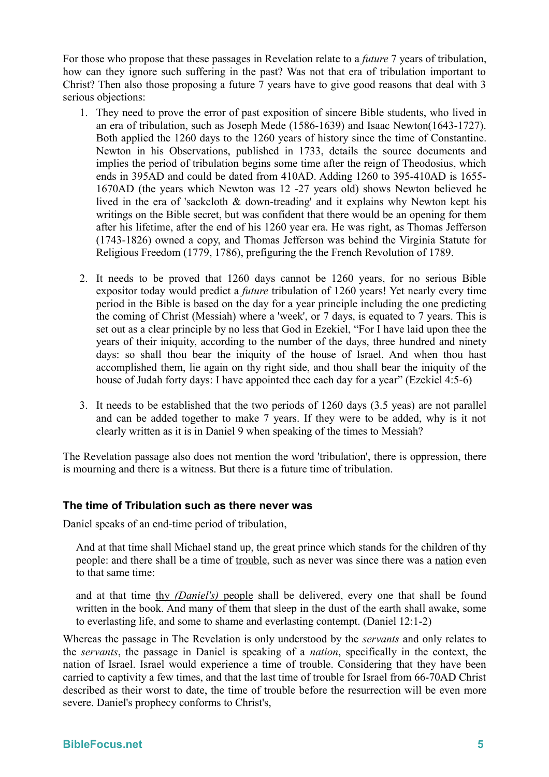For those who propose that these passages in Revelation relate to a *future* 7 years of tribulation, how can they ignore such suffering in the past? Was not that era of tribulation important to Christ? Then also those proposing a future 7 years have to give good reasons that deal with 3 serious objections:

- 1. They need to prove the error of past exposition of sincere Bible students, who lived in an era of tribulation, such as Joseph Mede (1586-1639) and Isaac Newton(1643-1727). Both applied the 1260 days to the 1260 years of history since the time of Constantine. Newton in his Observations, published in 1733, details the source documents and implies the period of tribulation begins some time after the reign of Theodosius, which ends in 395AD and could be dated from 410AD. Adding 1260 to 395-410AD is 1655- 1670AD (the years which Newton was 12 -27 years old) shows Newton believed he lived in the era of 'sackcloth & down-treading' and it explains why Newton kept his writings on the Bible secret, but was confident that there would be an opening for them after his lifetime, after the end of his 1260 year era. He was right, as Thomas Jefferson (1743-1826) owned a copy, and Thomas Jefferson was behind the Virginia Statute for Religious Freedom (1779, 1786), prefiguring the the French Revolution of 1789.
- 2. It needs to be proved that 1260 days cannot be 1260 years, for no serious Bible expositor today would predict a *future* tribulation of 1260 years! Yet nearly every time period in the Bible is based on the day for a year principle including the one predicting the coming of Christ (Messiah) where a 'week', or 7 days, is equated to 7 years. This is set out as a clear principle by no less that God in Ezekiel, "For I have laid upon thee the years of their iniquity, according to the number of the days, three hundred and ninety days: so shall thou bear the iniquity of the house of Israel. And when thou hast accomplished them, lie again on thy right side, and thou shall bear the iniquity of the house of Judah forty days: I have appointed thee each day for a year" (Ezekiel 4:5-6)
- 3. It needs to be established that the two periods of 1260 days (3.5 yeas) are not parallel and can be added together to make 7 years. If they were to be added, why is it not clearly written as it is in Daniel 9 when speaking of the times to Messiah?

The Revelation passage also does not mention the word 'tribulation', there is oppression, there is mourning and there is a witness. But there is a future time of tribulation.

## **The time of Tribulation such as there never was**

Daniel speaks of an end-time period of tribulation,

And at that time shall Michael stand up, the great prince which stands for the children of thy people: and there shall be a time of trouble, such as never was since there was a nation even to that same time:

and at that time thy *(Daniel's)* people shall be delivered, every one that shall be found written in the book. And many of them that sleep in the dust of the earth shall awake, some to everlasting life, and some to shame and everlasting contempt. (Daniel 12:1-2)

Whereas the passage in The Revelation is only understood by the *servants* and only relates to the *servants*, the passage in Daniel is speaking of a *nation*, specifically in the context, the nation of Israel. Israel would experience a time of trouble. Considering that they have been carried to captivity a few times, and that the last time of trouble for Israel from 66-70AD Christ described as their worst to date, the time of trouble before the resurrection will be even more severe. Daniel's prophecy conforms to Christ's,